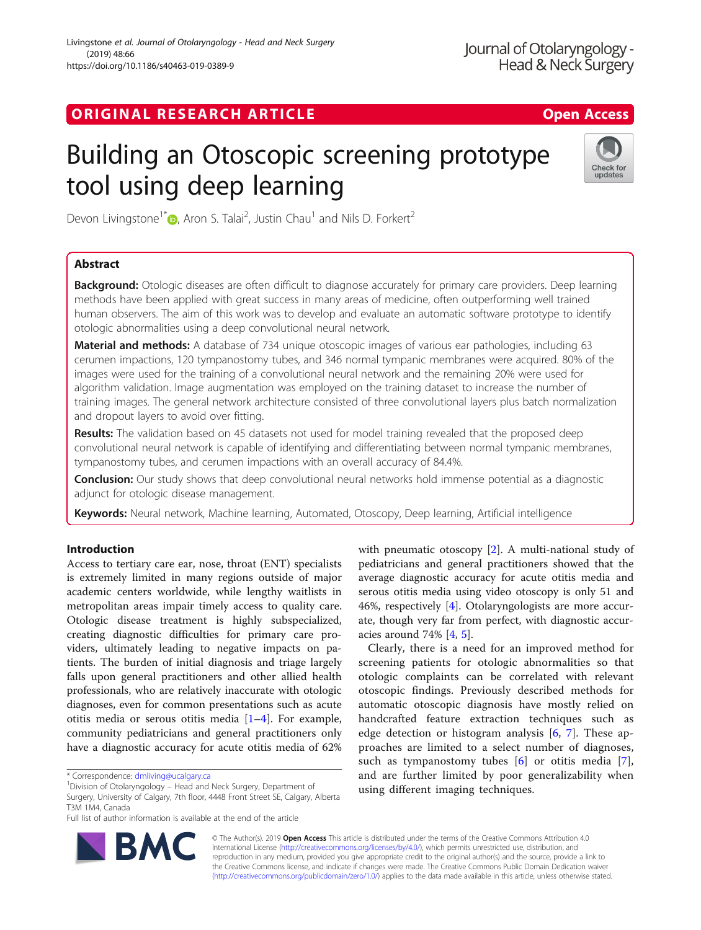# ORIGINAL RESEARCH ARTICLE **Example 20 and 20 and 20 and 20 and 20 and 20 and 20 and 20 and 20 and 20 and 20 and 20 and 20 and 20 and 20 and 20 and 20 and 20 and 20 and 20 and 20 and 20 and 20 and 20 and 20 and 20 and 20 an**

# Building an Otoscopic screening prototype tool using deep learning



Devon Livingstone<sup>1[\\*](http://orcid.org/0000-0002-4734-0980)</sup>  $\bullet$ , Aron S. Talai<sup>2</sup>, Justin Chau<sup>1</sup> and Nils D. Forkert<sup>2</sup>

# Abstract

**Background:** Otologic diseases are often difficult to diagnose accurately for primary care providers. Deep learning methods have been applied with great success in many areas of medicine, often outperforming well trained human observers. The aim of this work was to develop and evaluate an automatic software prototype to identify otologic abnormalities using a deep convolutional neural network.

Material and methods: A database of 734 unique otoscopic images of various ear pathologies, including 63 cerumen impactions, 120 tympanostomy tubes, and 346 normal tympanic membranes were acquired. 80% of the images were used for the training of a convolutional neural network and the remaining 20% were used for algorithm validation. Image augmentation was employed on the training dataset to increase the number of training images. The general network architecture consisted of three convolutional layers plus batch normalization and dropout layers to avoid over fitting.

Results: The validation based on 45 datasets not used for model training revealed that the proposed deep convolutional neural network is capable of identifying and differentiating between normal tympanic membranes, tympanostomy tubes, and cerumen impactions with an overall accuracy of 84.4%.

**Conclusion:** Our study shows that deep convolutional neural networks hold immense potential as a diagnostic adjunct for otologic disease management.

Keywords: Neural network, Machine learning, Automated, Otoscopy, Deep learning, Artificial intelligence

# Introduction

Access to tertiary care ear, nose, throat (ENT) specialists is extremely limited in many regions outside of major academic centers worldwide, while lengthy waitlists in metropolitan areas impair timely access to quality care. Otologic disease treatment is highly subspecialized, creating diagnostic difficulties for primary care providers, ultimately leading to negative impacts on patients. The burden of initial diagnosis and triage largely falls upon general practitioners and other allied health professionals, who are relatively inaccurate with otologic diagnoses, even for common presentations such as acute otitis media or serous otitis media [[1](#page-4-0)–[4\]](#page-4-0). For example, community pediatricians and general practitioners only have a diagnostic accuracy for acute otitis media of 62%



Clearly, there is a need for an improved method for screening patients for otologic abnormalities so that otologic complaints can be correlated with relevant otoscopic findings. Previously described methods for automatic otoscopic diagnosis have mostly relied on handcrafted feature extraction techniques such as edge detection or histogram analysis [[6,](#page-4-0) [7](#page-4-0)]. These approaches are limited to a select number of diagnoses, such as tympanostomy tubes  $[6]$  $[6]$  $[6]$  or otitis media  $[7]$  $[7]$ , and are further limited by poor generalizability when using different imaging techniques.



© The Author(s). 2019 **Open Access** This article is distributed under the terms of the Creative Commons Attribution 4.0 International License [\(http://creativecommons.org/licenses/by/4.0/](http://creativecommons.org/licenses/by/4.0/)), which permits unrestricted use, distribution, and reproduction in any medium, provided you give appropriate credit to the original author(s) and the source, provide a link to the Creative Commons license, and indicate if changes were made. The Creative Commons Public Domain Dedication waiver [\(http://creativecommons.org/publicdomain/zero/1.0/](http://creativecommons.org/publicdomain/zero/1.0/)) applies to the data made available in this article, unless otherwise stated.

<sup>\*</sup> Correspondence: [dmliving@ucalgary.ca](mailto:dmliving@ucalgary.ca) <sup>1</sup>

<sup>&</sup>lt;sup>1</sup> Division of Otolaryngology – Head and Neck Surgery, Department of Surgery, University of Calgary, 7th floor, 4448 Front Street SE, Calgary, Alberta T3M 1M4, Canada

Full list of author information is available at the end of the article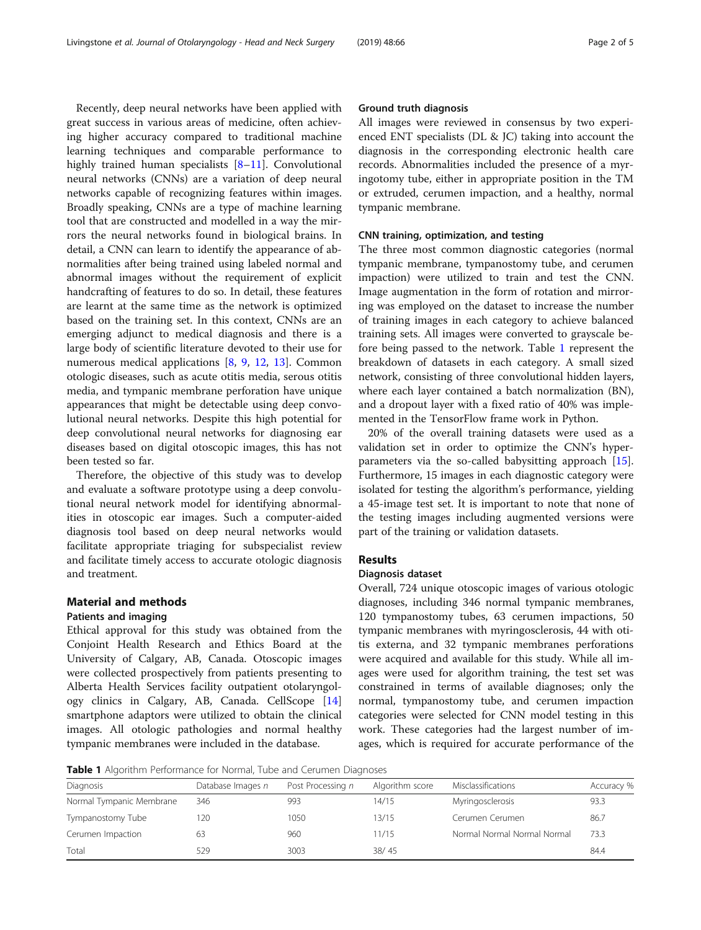<span id="page-1-0"></span>Recently, deep neural networks have been applied with great success in various areas of medicine, often achieving higher accuracy compared to traditional machine learning techniques and comparable performance to highly trained human specialists [[8](#page-4-0)-[11\]](#page-4-0). Convolutional neural networks (CNNs) are a variation of deep neural networks capable of recognizing features within images. Broadly speaking, CNNs are a type of machine learning tool that are constructed and modelled in a way the mirrors the neural networks found in biological brains. In detail, a CNN can learn to identify the appearance of abnormalities after being trained using labeled normal and abnormal images without the requirement of explicit handcrafting of features to do so. In detail, these features are learnt at the same time as the network is optimized based on the training set. In this context, CNNs are an emerging adjunct to medical diagnosis and there is a large body of scientific literature devoted to their use for numerous medical applications [\[8,](#page-4-0) [9](#page-4-0), [12](#page-4-0), [13](#page-4-0)]. Common otologic diseases, such as acute otitis media, serous otitis media, and tympanic membrane perforation have unique appearances that might be detectable using deep convolutional neural networks. Despite this high potential for deep convolutional neural networks for diagnosing ear diseases based on digital otoscopic images, this has not been tested so far.

Therefore, the objective of this study was to develop and evaluate a software prototype using a deep convolutional neural network model for identifying abnormalities in otoscopic ear images. Such a computer-aided diagnosis tool based on deep neural networks would facilitate appropriate triaging for subspecialist review and facilitate timely access to accurate otologic diagnosis and treatment.

# Material and methods

#### Patients and imaging

Ethical approval for this study was obtained from the Conjoint Health Research and Ethics Board at the University of Calgary, AB, Canada. Otoscopic images were collected prospectively from patients presenting to Alberta Health Services facility outpatient otolaryngology clinics in Calgary, AB, Canada. CellScope [[14](#page-4-0)] smartphone adaptors were utilized to obtain the clinical images. All otologic pathologies and normal healthy tympanic membranes were included in the database.

### Ground truth diagnosis

All images were reviewed in consensus by two experienced ENT specialists (DL & JC) taking into account the diagnosis in the corresponding electronic health care records. Abnormalities included the presence of a myringotomy tube, either in appropriate position in the TM or extruded, cerumen impaction, and a healthy, normal tympanic membrane.

## CNN training, optimization, and testing

The three most common diagnostic categories (normal tympanic membrane, tympanostomy tube, and cerumen impaction) were utilized to train and test the CNN. Image augmentation in the form of rotation and mirroring was employed on the dataset to increase the number of training images in each category to achieve balanced training sets. All images were converted to grayscale before being passed to the network. Table 1 represent the breakdown of datasets in each category. A small sized network, consisting of three convolutional hidden layers, where each layer contained a batch normalization (BN), and a dropout layer with a fixed ratio of 40% was implemented in the TensorFlow frame work in Python.

20% of the overall training datasets were used as a validation set in order to optimize the CNN's hyperparameters via the so-called babysitting approach [\[15](#page-4-0)]. Furthermore, 15 images in each diagnostic category were isolated for testing the algorithm's performance, yielding a 45-image test set. It is important to note that none of the testing images including augmented versions were part of the training or validation datasets.

#### Results

#### Diagnosis dataset

Overall, 724 unique otoscopic images of various otologic diagnoses, including 346 normal tympanic membranes, 120 tympanostomy tubes, 63 cerumen impactions, 50 tympanic membranes with myringosclerosis, 44 with otitis externa, and 32 tympanic membranes perforations were acquired and available for this study. While all images were used for algorithm training, the test set was constrained in terms of available diagnoses; only the normal, tympanostomy tube, and cerumen impaction categories were selected for CNN model testing in this work. These categories had the largest number of images, which is required for accurate performance of the

Table 1 Algorithm Performance for Normal, Tube and Cerumen Diagnoses

| Diagnosis                | Database Images n | Post Processing n | Algorithm score | Misclassifications          | Accuracy % |
|--------------------------|-------------------|-------------------|-----------------|-----------------------------|------------|
| Normal Tympanic Membrane | 346               | 993               | 14/15           | Myringosclerosis            | 93.3       |
| Tympanostomy Tube        | 20                | 1050              | 13/15           | Cerumen Cerumen             | 86.7       |
| Cerumen Impaction        | 63                | 960               | 11/15           | Normal Normal Normal Normal | 73.3       |
| Total                    | 529               | 3003              | 38/45           |                             | 84.4       |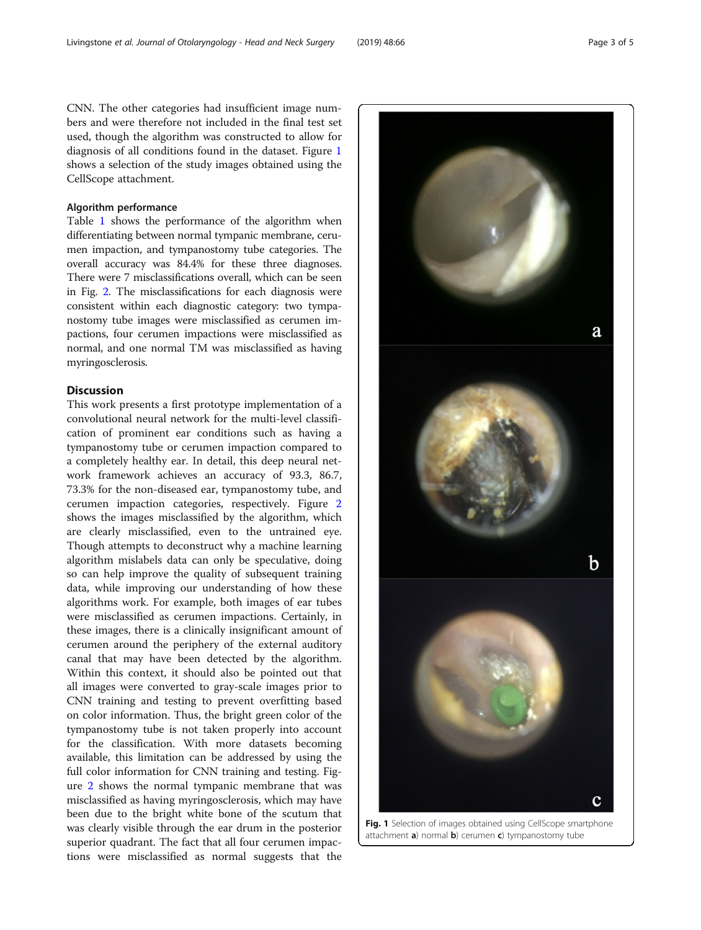CNN. The other categories had insufficient image numbers and were therefore not included in the final test set used, though the algorithm was constructed to allow for diagnosis of all conditions found in the dataset. Figure 1 shows a selection of the study images obtained using the CellScope attachment.

#### Algorithm performance

Table [1](#page-1-0) shows the performance of the algorithm when differentiating between normal tympanic membrane, cerumen impaction, and tympanostomy tube categories. The overall accuracy was 84.4% for these three diagnoses. There were 7 misclassifications overall, which can be seen in Fig. [2](#page-3-0). The misclassifications for each diagnosis were consistent within each diagnostic category: two tympanostomy tube images were misclassified as cerumen impactions, four cerumen impactions were misclassified as normal, and one normal TM was misclassified as having myringosclerosis.

# **Discussion**

This work presents a first prototype implementation of a convolutional neural network for the multi-level classification of prominent ear conditions such as having a tympanostomy tube or cerumen impaction compared to a completely healthy ear. In detail, this deep neural network framework achieves an accuracy of 93.3, 86.7, 73.3% for the non-diseased ear, tympanostomy tube, and cerumen impaction categories, respectively. Figure [2](#page-3-0) shows the images misclassified by the algorithm, which are clearly misclassified, even to the untrained eye. Though attempts to deconstruct why a machine learning algorithm mislabels data can only be speculative, doing so can help improve the quality of subsequent training data, while improving our understanding of how these algorithms work. For example, both images of ear tubes were misclassified as cerumen impactions. Certainly, in these images, there is a clinically insignificant amount of cerumen around the periphery of the external auditory canal that may have been detected by the algorithm. Within this context, it should also be pointed out that all images were converted to gray-scale images prior to CNN training and testing to prevent overfitting based on color information. Thus, the bright green color of the tympanostomy tube is not taken properly into account for the classification. With more datasets becoming available, this limitation can be addressed by using the full color information for CNN training and testing. Figure [2](#page-3-0) shows the normal tympanic membrane that was misclassified as having myringosclerosis, which may have been due to the bright white bone of the scutum that was clearly visible through the ear drum in the posterior superior quadrant. The fact that all four cerumen impactions were misclassified as normal suggests that the



attachment a) normal b) cerumen c) tympanostomy tube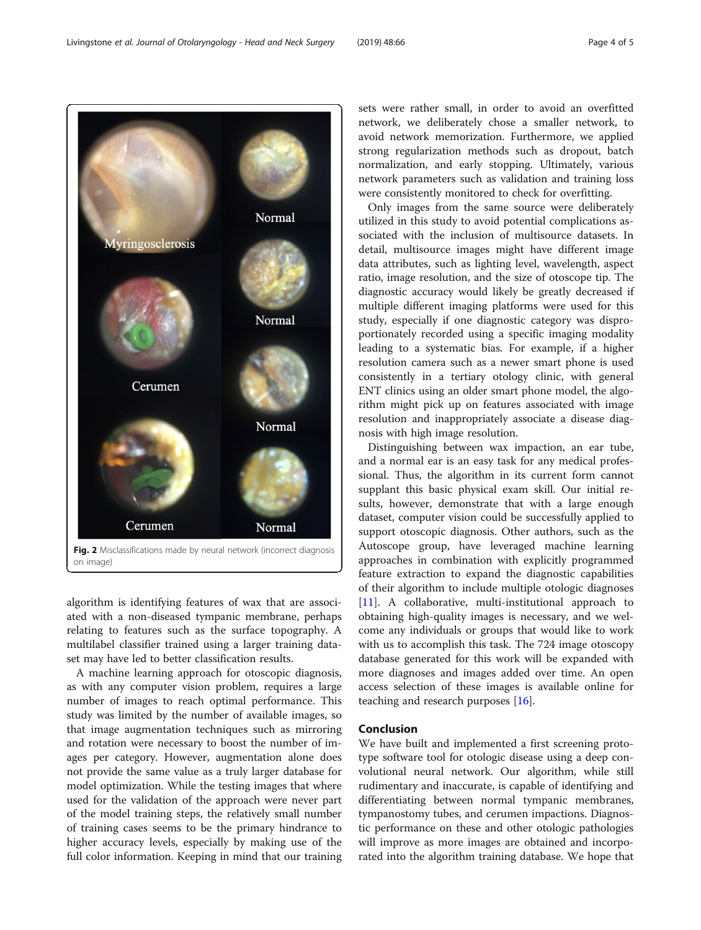algorithm is identifying features of wax that are associated with a non-diseased tympanic membrane, perhaps relating to features such as the surface topography. A multilabel classifier trained using a larger training dataset may have led to better classification results.

Fig. 2 Misclassifications made by neural network (incorrect diagnosis

Normal

Normal

Cerumen

Cerumen

on image)

A machine learning approach for otoscopic diagnosis, as with any computer vision problem, requires a large number of images to reach optimal performance. This study was limited by the number of available images, so that image augmentation techniques such as mirroring and rotation were necessary to boost the number of images per category. However, augmentation alone does not provide the same value as a truly larger database for model optimization. While the testing images that where used for the validation of the approach were never part of the model training steps, the relatively small number of training cases seems to be the primary hindrance to higher accuracy levels, especially by making use of the full color information. Keeping in mind that our training sets were rather small, in order to avoid an overfitted network, we deliberately chose a smaller network, to avoid network memorization. Furthermore, we applied strong regularization methods such as dropout, batch normalization, and early stopping. Ultimately, various network parameters such as validation and training loss were consistently monitored to check for overfitting.

Only images from the same source were deliberately utilized in this study to avoid potential complications associated with the inclusion of multisource datasets. In detail, multisource images might have different image data attributes, such as lighting level, wavelength, aspect ratio, image resolution, and the size of otoscope tip. The diagnostic accuracy would likely be greatly decreased if multiple different imaging platforms were used for this study, especially if one diagnostic category was disproportionately recorded using a specific imaging modality leading to a systematic bias. For example, if a higher resolution camera such as a newer smart phone is used consistently in a tertiary otology clinic, with general ENT clinics using an older smart phone model, the algorithm might pick up on features associated with image resolution and inappropriately associate a disease diagnosis with high image resolution.

Distinguishing between wax impaction, an ear tube, and a normal ear is an easy task for any medical professional. Thus, the algorithm in its current form cannot supplant this basic physical exam skill. Our initial results, however, demonstrate that with a large enough dataset, computer vision could be successfully applied to support otoscopic diagnosis. Other authors, such as the Autoscope group, have leveraged machine learning approaches in combination with explicitly programmed feature extraction to expand the diagnostic capabilities of their algorithm to include multiple otologic diagnoses [[11\]](#page-4-0). A collaborative, multi-institutional approach to obtaining high-quality images is necessary, and we welcome any individuals or groups that would like to work with us to accomplish this task. The 724 image otoscopy database generated for this work will be expanded with more diagnoses and images added over time. An open access selection of these images is available online for teaching and research purposes [[16](#page-4-0)].

# Conclusion

We have built and implemented a first screening prototype software tool for otologic disease using a deep convolutional neural network. Our algorithm, while still rudimentary and inaccurate, is capable of identifying and differentiating between normal tympanic membranes, tympanostomy tubes, and cerumen impactions. Diagnostic performance on these and other otologic pathologies will improve as more images are obtained and incorporated into the algorithm training database. We hope that

<span id="page-3-0"></span>